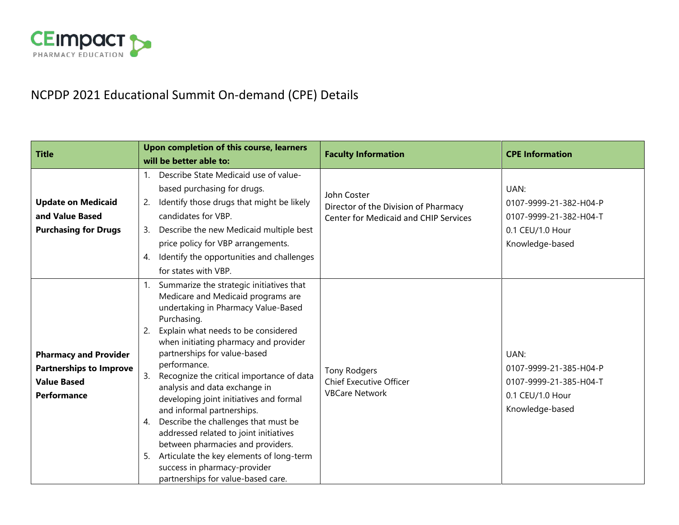

# NCPDP 2021 Educational Summit On-demand (CPE) Details

| <b>Title</b>                                                                                               | Upon completion of this course, learners<br>will be better able to:                                                                                                                                                                                                                                                                                                                                                                                                                                                                                                                                                                                                                                | <b>Faculty Information</b>                                                                          | <b>CPE Information</b>                                                                          |
|------------------------------------------------------------------------------------------------------------|----------------------------------------------------------------------------------------------------------------------------------------------------------------------------------------------------------------------------------------------------------------------------------------------------------------------------------------------------------------------------------------------------------------------------------------------------------------------------------------------------------------------------------------------------------------------------------------------------------------------------------------------------------------------------------------------------|-----------------------------------------------------------------------------------------------------|-------------------------------------------------------------------------------------------------|
| <b>Update on Medicaid</b><br>and Value Based<br><b>Purchasing for Drugs</b>                                | Describe State Medicaid use of value-<br>1.<br>based purchasing for drugs.<br>Identify those drugs that might be likely<br>2.<br>candidates for VBP.<br>Describe the new Medicaid multiple best<br>3.<br>price policy for VBP arrangements.<br>Identify the opportunities and challenges<br>4.<br>for states with VBP.                                                                                                                                                                                                                                                                                                                                                                             | John Coster<br>Director of the Division of Pharmacy<br><b>Center for Medicaid and CHIP Services</b> | UAN:<br>0107-9999-21-382-H04-P<br>0107-9999-21-382-H04-T<br>0.1 CEU/1.0 Hour<br>Knowledge-based |
| <b>Pharmacy and Provider</b><br><b>Partnerships to Improve</b><br><b>Value Based</b><br><b>Performance</b> | Summarize the strategic initiatives that<br>1.<br>Medicare and Medicaid programs are<br>undertaking in Pharmacy Value-Based<br>Purchasing.<br>Explain what needs to be considered<br>2.<br>when initiating pharmacy and provider<br>partnerships for value-based<br>performance.<br>3.<br>Recognize the critical importance of data<br>analysis and data exchange in<br>developing joint initiatives and formal<br>and informal partnerships.<br>Describe the challenges that must be<br>4.<br>addressed related to joint initiatives<br>between pharmacies and providers.<br>Articulate the key elements of long-term<br>5.<br>success in pharmacy-provider<br>partnerships for value-based care. | Tony Rodgers<br><b>Chief Executive Officer</b><br><b>VBCare Network</b>                             | UAN:<br>0107-9999-21-385-H04-P<br>0107-9999-21-385-H04-T<br>0.1 CEU/1.0 Hour<br>Knowledge-based |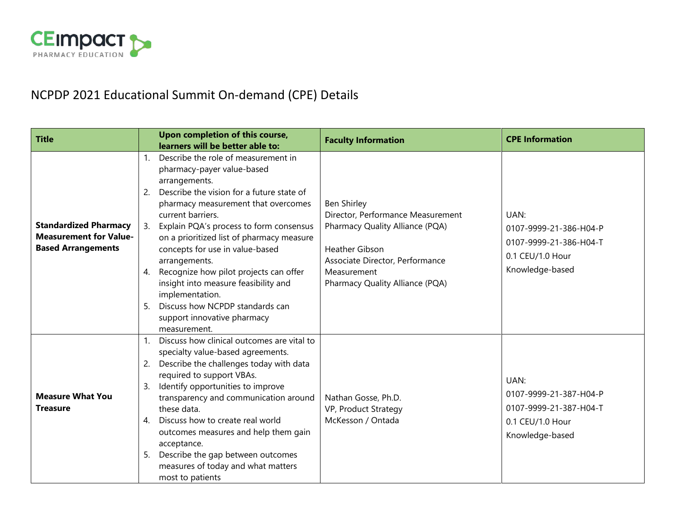

# NCPDP 2021 Educational Summit On-demand (CPE) Details

| <b>Title</b>                                                                               |                                                                                                                                                                                            | Upon completion of this course,<br>learners will be better able to:                                                                                                                                                                                                                                                                                                     | <b>Faculty Information</b>                                                                                                                                                                               | <b>CPE Information</b>                                                                          |
|--------------------------------------------------------------------------------------------|--------------------------------------------------------------------------------------------------------------------------------------------------------------------------------------------|-------------------------------------------------------------------------------------------------------------------------------------------------------------------------------------------------------------------------------------------------------------------------------------------------------------------------------------------------------------------------|----------------------------------------------------------------------------------------------------------------------------------------------------------------------------------------------------------|-------------------------------------------------------------------------------------------------|
| <b>Standardized Pharmacy</b><br><b>Measurement for Value-</b><br><b>Based Arrangements</b> | $1_{\cdot}$<br>pharmacy-payer value-based<br>arrangements.<br>2.<br>current barriers.<br>3.<br>arrangements.<br>4.<br>implementation.<br>5.<br>support innovative pharmacy<br>measurement. | Describe the role of measurement in<br>Describe the vision for a future state of<br>pharmacy measurement that overcomes<br>Explain PQA's process to form consensus<br>on a prioritized list of pharmacy measure<br>concepts for use in value-based<br>Recognize how pilot projects can offer<br>insight into measure feasibility and<br>Discuss how NCPDP standards can | <b>Ben Shirley</b><br>Director, Performance Measurement<br>Pharmacy Quality Alliance (PQA)<br><b>Heather Gibson</b><br>Associate Director, Performance<br>Measurement<br>Pharmacy Quality Alliance (PQA) | UAN:<br>0107-9999-21-386-H04-P<br>0107-9999-21-386-H04-T<br>0.1 CEU/1.0 Hour<br>Knowledge-based |
| <b>Measure What You</b><br><b>Treasure</b>                                                 | $1_{\cdot}$<br>2.<br>required to support VBAs.<br>3.<br>these data.<br>4.<br>acceptance.<br>5.<br>most to patients                                                                         | Discuss how clinical outcomes are vital to<br>specialty value-based agreements.<br>Describe the challenges today with data<br>Identify opportunities to improve<br>transparency and communication around<br>Discuss how to create real world<br>outcomes measures and help them gain<br>Describe the gap between outcomes<br>measures of today and what matters         | Nathan Gosse, Ph.D.<br>VP, Product Strategy<br>McKesson / Ontada                                                                                                                                         | UAN:<br>0107-9999-21-387-H04-P<br>0107-9999-21-387-H04-T<br>0.1 CEU/1.0 Hour<br>Knowledge-based |